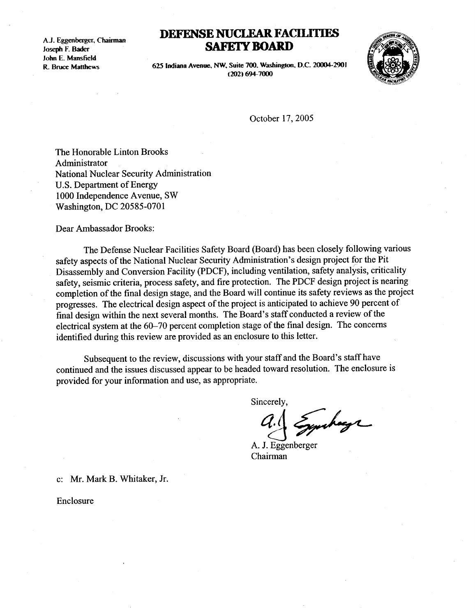A.J. Eggenberger, Chairman<br>Joseph F. Bader A.J. Eggenber<br>Joseph F. Bad John E. Mansfield R. Bruce Matthews

## DEFENSE NUCLEAR FACILITIES **SAFETY BOARD**



625 Indiana Avenue, NW, Suite 700, Washington, D.C. 20004-2901 (202)694-7000

October 17, 2005

The Honorable Linton Brooks Administrator National Nuclear Security Administration U.S. Department of Energy 1000 Independence Avenue, SW Washington, DC 20585-0701

Dear Ambassador Brooks :

The Defense Nuclear Facilities Safety Board (Board) has been closely following various safety aspects of the National Nuclear Security Administration's design project for the Pit Disassembly and Conversion Facility (PDCF), including ventilation, safety analysis, criticality safety, seismic criteria, process safety, and fire protection. The PDCF design project is nearing completion of the final design stage, and the Board will continue its safety reviews as the project progresses. The electrical design aspect of the project is anticipated to achieve 90 percent of final design within the next several months. The Board's staff conducted a review of the electrical system at the 60-70 percent completion stage of the final design. The concerns identified during this review are provided as an enclosure to this letter .

Subsequent to the review, discussions with your staff and the Board's staff have continued and the issues discussed appear to be headed toward resolution. The enclosure is provided for your information and use, as appropriate .

Sincerely,

yuhaye

A. J. Eggenberger Chairman

c: Mr. Mark B. Whitaker, Jr.

Enclosure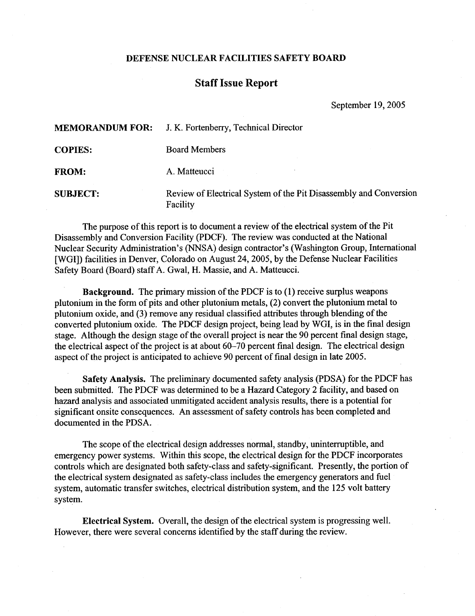## DEFENSE NUCLEAR FACILITIES SAFETY BOARD

## Staff Issue Report

September 19, 2005

| <b>MEMORANDUM FOR:</b> | J. K. Fortenberry, Technical Director                                         |
|------------------------|-------------------------------------------------------------------------------|
| <b>COPIES:</b>         | <b>Board Members</b>                                                          |
| <b>FROM:</b>           | A. Matteucci                                                                  |
| <b>SUBJECT:</b>        | Review of Electrical System of the Pit Disassembly and Conversion<br>Facility |

The purpose of this report is to document a review of the electrical system of the Pit Disassembly and Conversion Facility (PDCF) . The review was conducted at the National Nuclear Security Administration's (NNSA) design contractor's (Washington Group, International [WGI]) facilities in Denver, Colorado on August 24, 2005, by the Defense Nuclear Facilities Safety Board (Board) staff A. Gwal, H. Massie, and A. Matteucci.

Background. The primary mission of the PDCF is to (1) receive surplus weapons plutonium in the form of pits and other plutonium metals, (2) convert the plutonium metal to plutonium oxide, and (3) remove any residual classified attributes through blending of the converted plutonium oxide. The PDCF design project, being lead by WGI, is in the final design stage. Although the design stage of the overall project is near the 90 percent final design stage, the electrical aspect of the project is at about  $60-70$  percent final design. The electrical design aspect of the project is anticipated to achieve 90 percent of final design in late 2005 .

Safety Analysis. The preliminary documented safety analysis (PDSA) for the PDCF has been submitted. The PDCF was determined to be a Hazard Category 2 facility, and based on hazard analysis and associated unmitigated accident analysis results, there is a potential for significant onsite consequences . An assessment of safety controls has been completed and documented in the PDSA.

The scope of the electrical design addresses normal, standby, uninterruptible, and emergency power systems. Within this scope, the electrical design for the PDCF incorporates controls which are designated both safety-class and safety-significant. Presently, the portion of the electrical system designated as safety-class includes the emergency generators and fuel system, automatic transfer switches, electrical distribution system, and the 125 volt battery system.

Electrical System. Overall, the design of the electrical system is progressing well. However, there were several concerns identified by the staff during the review .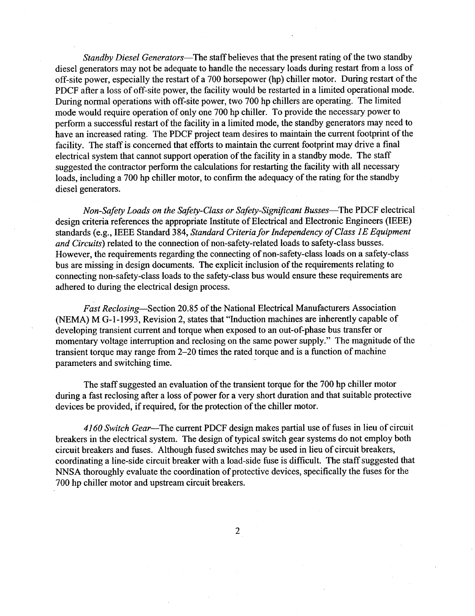Standby Diesel Generators-The staff believes that the present rating of the two standby diesel generators may not be adequate to handle the necessary loads during restart from a loss of off-site power, especially the restart of a 700 horsepower (hp) chiller motor . During restart of the PDCF after a loss of off-site power, the facility would be restarted in a limited operational mode. During normal operations with off-site power, two 700 hp chillers are operating. The limited mode would require operation of only one 700 hp chiller. To provide the necessary power to perform a successful restart of the facility in a limited mode, the standby generators may need to have an increased rating. The PDCF project team desires to maintain the current footprint of the facility. The staff is concerned that efforts to maintain the current footprint may drive a final electrical system that cannot support operation of the facility in a standby mode. The staff suggested the contractor perform the calculations for restarting the facility with all necessary loads, including a 700 hp chiller motor, to confirm the adequacy of the rating for the standby diesel generators.

Non-Safety Loads on the Safety-Class or Safety-Significant Busses—The PDCF electrical design criteria references the appropriate Institute of Electrical and Electronic Engineers (IEEE) standards (e.g., IEEE Standard 384, Standard Criteria for Independency of Class 1E Equipment and Circuits) related to the connection of non-safety-related loads to safety-class busses. However, the requirements regarding the connecting of non-safety-class loads on a safety-class bus are missing in design documents . The explicit inclusion of the requirements relating to connecting non-safety-class loads to the safety-class bus would ensure these requirements are adhered to during the electrical design process .

Fast Reclosing-Section 20.85 of the National Electrical Manufacturers Association (NEMA) M G-1-1993, Revision 2, states that "Induction machines are inherently capable of developing transient current and torque when exposed to an out-of-phase bus transfer or momentary voltage interruption and reclosing on the same power supply ." The magnitude of the transient torque may range from 2-20 times the rated torque and is a function of machine parameters and switching time.

The staff suggested an evaluation of the transient torque for the 700 hp chiller motor during a fast reclosing after a loss of power for a' very short duration and that suitable protective devices be provided, if required, for the protection of the chiller motor .

4160 Switch Gear-The current PDCF design makes partial use of fuses in lieu of circuit breakers in the electrical system. The design of typical switch gear systems do not employ both circuit breakers and fuses. Although fused switches may be used in lieu of circuit breakers, coordinating a line-side circuit breaker with a load-side fuse is difficult. The staff suggested that NNSA thoroughly evaluate the coordination of protective devices, specifically the fuses for the 700 hp chiller motor and upstream circuit breakers.

 $\overline{2}$